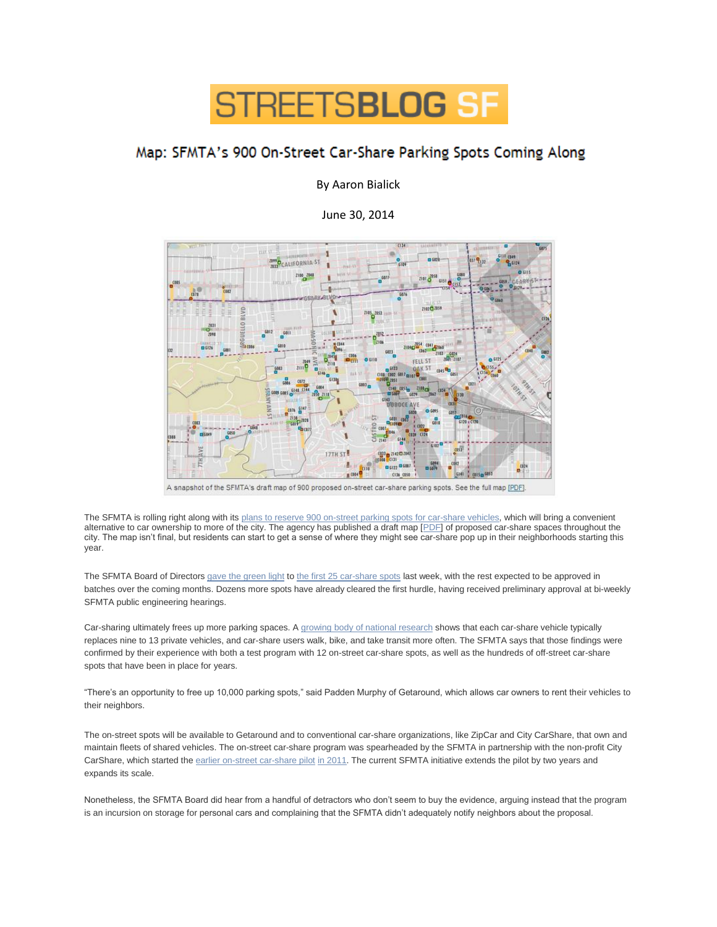

## Map: SFMTA's 900 On-Street Car-Share Parking Spots Coming Along

By Aaron Bialick

June 30, 2014



A snapshot of the SFMTA's draft map of 900 proposed on-street car-share parking spots. See the full map [PDF].

The SFMTA is rolling right along with its [plans to reserve 900 on-street parking spots for car-share vehicles,](http://sf.streetsblog.org/2014/05/15/50-on-street-car-share-spaces-up-for-approval-support-one-near-you/) which will bring a convenient alternative to car ownership to more of the city. The agency has published a draft map [\[PDF\]](http://sfmta.com/sites/default/files/projects/CSO_Space_Requests_citywide_20140605.pdf) of proposed car-share spaces throughout the city. The map isn't final, but residents can start to get a sense of where they might see car-share pop up in their neighborhoods starting this year.

The SFMTA Board of Directors [gave the green light](http://www.sfexaminer.com/sanfrancisco/sfmta-board-expands-locations-for-car-share-vehicles/Content?oid=2832120) to [the first 25 car-share spots](http://sfbay.ca/2014/06/27/city-sets-aside-street-parking-for-car-sharing/) last week, with the rest expected to be approved in batches over the coming months. Dozens more spots have already cleared the first hurdle, having received preliminary approval at bi-weekly SFMTA public engineering hearings.

Car-sharing ultimately frees up more parking spaces. A [growing body of national research](http://www.sfbg.com/politics/2014/05/23/does-carsharing-really-reduce-overall-driving) shows that each car-share vehicle typically replaces nine to 13 private vehicles, and car-share users walk, bike, and take transit more often. The SFMTA says that those findings were confirmed by their experience with both a test program with 12 on-street car-share spots, as well as the hundreds of off-street car-share spots that have been in place for years.

"There's an opportunity to free up 10,000 parking spots," said Padden Murphy of Getaround, which allows car owners to rent their vehicles to their neighbors.

The on-street spots will be available to Getaround and to conventional car-share organizations, like ZipCar and City CarShare, that own and maintain fleets of shared vehicles. The on-street car-share program was spearheaded by the SFMTA in partnership with the non-profit City CarShare, which started the [earlier on-street car-share pilot](http://sf.streetsblog.org/2013/05/21/sfmta-to-designate-hundreds-of-curbside-parking-spots-for-car-sharing/) [in 2011.](http://sf.streetsblog.org/2011/07/26/sfmta-to-test-on-street-car-share-parking-spaces/) The current SFMTA initiative extends the pilot by two years and expands its scale.

Nonetheless, the SFMTA Board did hear from a handful of detractors who don't seem to buy the evidence, arguing instead that the program is an incursion on storage for personal cars and complaining that the SFMTA didn't adequately notify neighbors about the proposal.